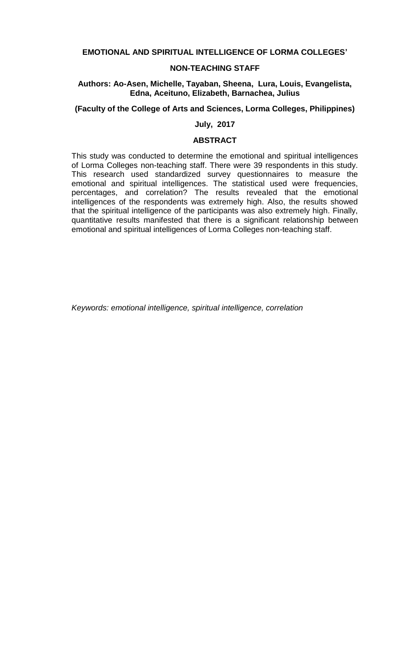### **EMOTIONAL AND SPIRITUAL INTELLIGENCE OF LORMA COLLEGES'**

### **NON-TEACHING STAFF**

### **Authors: Ao-Asen, Michelle, Tayaban, Sheena, Lura, Louis, Evangelista, Edna, Aceituno, Elizabeth, Barnachea, Julius**

### **(Faculty of the College of Arts and Sciences, Lorma Colleges, Philippines)**

# **July, 2017**

### **ABSTRACT**

This study was conducted to determine the emotional and spiritual intelligences of Lorma Colleges non-teaching staff. There were 39 respondents in this study. This research used standardized survey questionnaires to measure the emotional and spiritual intelligences. The statistical used were frequencies, percentages, and correlation? The results revealed that the emotional intelligences of the respondents was extremely high. Also, the results showed that the spiritual intelligence of the participants was also extremely high. Finally, quantitative results manifested that there is a significant relationship between emotional and spiritual intelligences of Lorma Colleges non-teaching staff.

*Keywords: emotional intelligence, spiritual intelligence, correlation*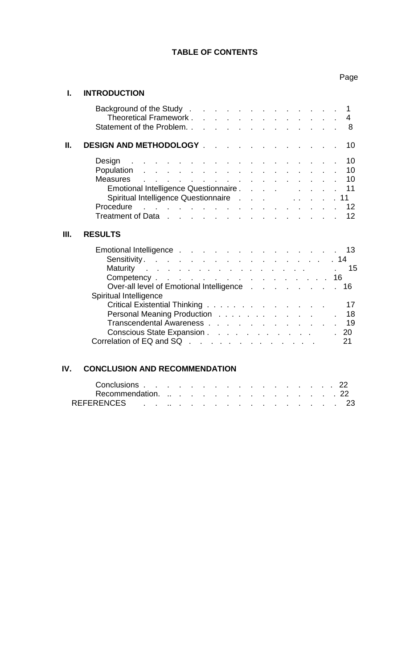# **TABLE OF CONTENTS**

# Page

# **I. INTRODUCTION**

|    | Background of the Study 1<br>Theoretical Framework 4<br>Statement of the Problem. 8                                                                                                                                                               |
|----|---------------------------------------------------------------------------------------------------------------------------------------------------------------------------------------------------------------------------------------------------|
| Ш. | DESIGN AND METHODOLOGY 10                                                                                                                                                                                                                         |
|    | Design and a subset of the subset of the set of the Design and the subset of the set of the set of the set of the set of the set of the set of the set of the set of the set of the set of the set of the set of the set of th<br>10 <sup>°</sup> |
|    | Population<br>10                                                                                                                                                                                                                                  |
|    | Measures 10                                                                                                                                                                                                                                       |
|    | Emotional Intelligence Questionnaire 11                                                                                                                                                                                                           |
|    | Spiritual Intelligence Questionnaire 11                                                                                                                                                                                                           |
|    | Procedure 12                                                                                                                                                                                                                                      |
|    | Treatment of Data 12                                                                                                                                                                                                                              |
| Ш. | <b>RESULTS</b>                                                                                                                                                                                                                                    |
|    | Emotional Intelligence 13                                                                                                                                                                                                                         |
|    | Sensitivity. 14                                                                                                                                                                                                                                   |
|    | Maturity 15                                                                                                                                                                                                                                       |
|    | Competency 16                                                                                                                                                                                                                                     |
|    | Over-all level of Emotional Intelligence 16                                                                                                                                                                                                       |
|    | Spiritual Intelligence                                                                                                                                                                                                                            |
|    | Critical Existential Thinking 17                                                                                                                                                                                                                  |
|    | Personal Meaning Production 18                                                                                                                                                                                                                    |
|    | Transcendental Awareness 19                                                                                                                                                                                                                       |
|    | Conscious State Expansion 20                                                                                                                                                                                                                      |
|    | Correlation of EQ and SQ<br>21                                                                                                                                                                                                                    |

# **IV. CONCLUSION AND RECOMMENDATION**

| Conclusions 22     |  |  |  |  |  |  |  |  |
|--------------------|--|--|--|--|--|--|--|--|
| Recommendation. 22 |  |  |  |  |  |  |  |  |
| REFERENCES 23      |  |  |  |  |  |  |  |  |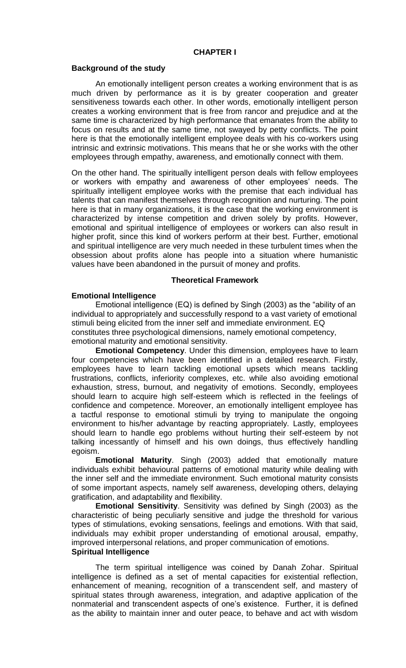### **CHAPTER I**

#### **Background of the study**

An emotionally intelligent person creates a working environment that is as much driven by performance as it is by greater cooperation and greater sensitiveness towards each other. In other words, emotionally intelligent person creates a working environment that is free from rancor and prejudice and at the same time is characterized by high performance that emanates from the ability to focus on results and at the same time, not swayed by petty conflicts. The point here is that the emotionally intelligent employee deals with his co-workers using intrinsic and extrinsic motivations. This means that he or she works with the other employees through empathy, awareness, and emotionally connect with them.

On the other hand. The spiritually intelligent person deals with fellow employees or workers with empathy and awareness of other employees' needs. The spiritually intelligent employee works with the premise that each individual has talents that can manifest themselves through recognition and nurturing. The point here is that in many organizations, it is the case that the working environment is characterized by intense competition and driven solely by profits. However, emotional and spiritual intelligence of employees or workers can also result in higher profit, since this kind of workers perform at their best. Further, emotional and spiritual intelligence are very much needed in these turbulent times when the obsession about profits alone has people into a situation where humanistic values have been abandoned in the pursuit of money and profits.

#### **Theoretical Framework**

### **Emotional Intelligence**

Emotional intelligence (EQ) is defined by Singh (2003) as the "ability of an individual to appropriately and successfully respond to a vast variety of emotional stimuli being elicited from the inner self and immediate environment. EQ constitutes three psychological dimensions, namely emotional competency, emotional maturity and emotional sensitivity.

**Emotional Competency**. Under this dimension, employees have to learn four competencies which have been identified in a detailed research. Firstly, employees have to learn tackling emotional upsets which means tackling frustrations, conflicts, inferiority complexes, etc. while also avoiding emotional exhaustion, stress, burnout, and negativity of emotions. Secondly, employees should learn to acquire high self-esteem which is reflected in the feelings of confidence and competence. Moreover, an emotionally intelligent employee has a tactful response to emotional stimuli by trying to manipulate the ongoing environment to his/her advantage by reacting appropriately. Lastly, employees should learn to handle ego problems without hurting their self-esteem by not talking incessantly of himself and his own doings, thus effectively handling egoism.

**Emotional Maturity**. Singh (2003) added that emotionally mature individuals exhibit behavioural patterns of emotional maturity while dealing with the inner self and the immediate environment. Such emotional maturity consists of some important aspects, namely self awareness, developing others, delaying gratification, and adaptability and flexibility.

**Emotional Sensitivity**. Sensitivity was defined by Singh (2003) as the characteristic of being peculiarly sensitive and judge the threshold for various types of stimulations, evoking sensations, feelings and emotions. With that said, individuals may exhibit proper understanding of emotional arousal, empathy, improved interpersonal relations, and proper communication of emotions.

### **Spiritual Intelligence**

The term spiritual intelligence was coined by Danah Zohar. Spiritual intelligence is defined as a set of mental capacities for existential reflection, enhancement of meaning, recognition of a transcendent self, and mastery of spiritual states through awareness, integration, and adaptive application of the nonmaterial and transcendent aspects of one's existence. Further, it is defined as the ability to maintain inner and outer peace, to behave and act with wisdom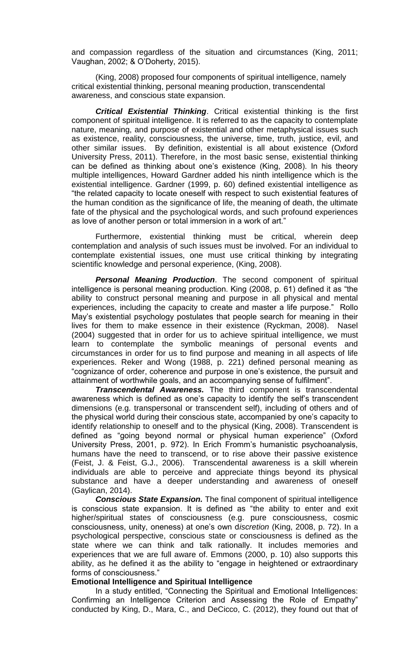and compassion regardless of the situation and circumstances (King, 2011; Vaughan, 2002; & O'Doherty, 2015).

(King, 2008) proposed four components of spiritual intelligence, namely critical existential thinking, personal meaning production, transcendental awareness, and conscious state expansion.

*Critical Existential Thinking*. Critical existential thinking is the first component of spiritual intelligence. It is referred to as the capacity to contemplate nature, meaning, and purpose of existential and other metaphysical issues such as existence, reality, consciousness, the universe, time, truth, justice, evil, and other similar issues. By definition, existential is all about existence (Oxford University Press, 2011). Therefore, in the most basic sense, existential thinking can be defined as thinking about one's existence (King, 2008). In his theory multiple intelligences, Howard Gardner added his ninth intelligence which is the existential intelligence. Gardner (1999, p. 60) defined existential intelligence as "the related capacity to locate oneself with respect to such existential features of the human condition as the significance of life, the meaning of death, the ultimate fate of the physical and the psychological words, and such profound experiences as love of another person or total immersion in a work of art."

Furthermore, existential thinking must be critical, wherein deep contemplation and analysis of such issues must be involved. For an individual to contemplate existential issues, one must use critical thinking by integrating scientific knowledge and personal experience, (King, 2008).

*Personal Meaning Production*. The second component of spiritual intelligence is personal meaning production. King (2008, p. 61) defined it as "the ability to construct personal meaning and purpose in all physical and mental experiences, including the capacity to create and master a life purpose." Rollo May's existential psychology postulates that people search for meaning in their lives for them to make essence in their existence (Ryckman, 2008). Nasel (2004) suggested that in order for us to achieve spiritual intelligence, we must learn to contemplate the symbolic meanings of personal events and circumstances in order for us to find purpose and meaning in all aspects of life experiences. Reker and Wong (1988, p. 221) defined personal meaning as "cognizance of order, coherence and purpose in one's existence, the pursuit and attainment of worthwhile goals, and an accompanying sense of fulfilment".

*Transcendental Awareness.* The third component is transcendental awareness which is defined as one's capacity to identify the self's transcendent dimensions (e.g. transpersonal or transcendent self), including of others and of the physical world during their conscious state, accompanied by one's capacity to identify relationship to oneself and to the physical (King, 2008). Transcendent is defined as "going beyond normal or physical human experience" (Oxford University Press, 2001, p. 972). In Erich Fromm's humanistic psychoanalysis, humans have the need to transcend, or to rise above their passive existence (Feist, J. & Feist, G.J., 2006). Transcendental awareness is a skill wherein individuals are able to perceive and appreciate things beyond its physical substance and have a deeper understanding and awareness of oneself (Gaylican, 2014).

*Conscious State Expansion.* The final component of spiritual intelligence is conscious state expansion. It is defined as "the ability to enter and exit higher/spiritual states of consciousness (e.g. pure consciousness, cosmic consciousness, unity, oneness) at one's own d*iscretion* (King, 2008, p. 72). In a psychological perspective, conscious state or consciousness is defined as the state where we can think and talk rationally. It includes memories and experiences that we are full aware of. Emmons (2000, p. 10) also supports this ability, as he defined it as the ability to "engage in heightened or extraordinary forms of consciousness."

### **Emotional Intelligence and Spiritual Intelligence**

In a study entitled, "Connecting the Spiritual and Emotional Intelligences: Confirming an Intelligence Criterion and Assessing the Role of Empathy" conducted by King, D., Mara, C., and DeCicco, C. (2012), they found out that of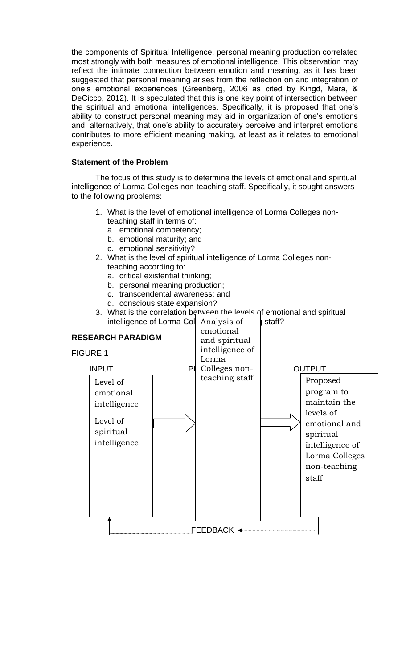the components of Spiritual Intelligence, personal meaning production correlated most strongly with both measures of emotional intelligence. This observation may reflect the intimate connection between emotion and meaning, as it has been suggested that personal meaning arises from the reflection on and integration of one's emotional experiences (Greenberg, 2006 as cited by Kingd, Mara, & DeCicco, 2012). It is speculated that this is one key point of intersection between the spiritual and emotional intelligences. Specifically, it is proposed that one's ability to construct personal meaning may aid in organization of one's emotions and, alternatively, that one's ability to accurately perceive and interpret emotions contributes to more efficient meaning making, at least as it relates to emotional experience.

# **Statement of the Problem**

The focus of this study is to determine the levels of emotional and spiritual intelligence of Lorma Colleges non-teaching staff. Specifically, it sought answers to the following problems:

- 1. What is the level of emotional intelligence of Lorma Colleges nonteaching staff in terms of:
	- a. emotional competency;
	- b. emotional maturity; and
	- c. emotional sensitivity?
- 2. What is the level of spiritual intelligence of Lorma Colleges nonteaching according to:
	- a. critical existential thinking;
	- b. personal meaning production;
	- c. transcendental awareness; and
	- d. conscious state expansion?
- 3. What is the correlation between the levels of emotional and spiritual intelligence of Lorma Coll Analysis of **I** staff? intelligence of Lorma Col Analysis of by staff?

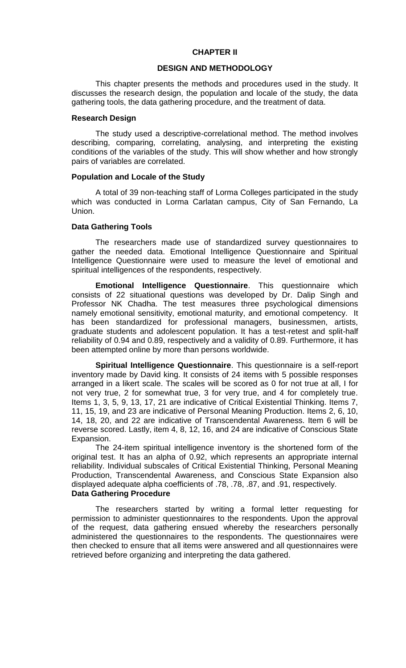### **CHAPTER II**

### **DESIGN AND METHODOLOGY**

This chapter presents the methods and procedures used in the study. It discusses the research design, the population and locale of the study, the data gathering tools, the data gathering procedure, and the treatment of data.

#### **Research Design**

The study used a descriptive-correlational method. The method involves describing, comparing, correlating, analysing, and interpreting the existing conditions of the variables of the study. This will show whether and how strongly pairs of variables are correlated.

#### **Population and Locale of the Study**

A total of 39 non-teaching staff of Lorma Colleges participated in the study which was conducted in Lorma Carlatan campus, City of San Fernando, La Union.

#### **Data Gathering Tools**

The researchers made use of standardized survey questionnaires to gather the needed data. Emotional Intelligence Questionnaire and Spiritual Intelligence Questionnaire were used to measure the level of emotional and spiritual intelligences of the respondents, respectively.

**Emotional Intelligence Questionnaire**. This questionnaire which consists of 22 situational questions was developed by Dr. Dalip Singh and Professor NK Chadha. The test measures three psychological dimensions namely emotional sensitivity, emotional maturity, and emotional competency. It has been standardized for professional managers, businessmen, artists, graduate students and adolescent population. It has a test-retest and split-half reliability of 0.94 and 0.89, respectively and a validity of 0.89. Furthermore, it has been attempted online by more than persons worldwide.

**Spiritual Intelligence Questionnaire**. This questionnaire is a self-report inventory made by David king. It consists of 24 items with 5 possible responses arranged in a likert scale. The scales will be scored as 0 for not true at all, I for not very true, 2 for somewhat true, 3 for very true, and 4 for completely true. Items 1, 3, 5, 9, 13, 17, 21 are indicative of Critical Existential Thinking. Items 7, 11, 15, 19, and 23 are indicative of Personal Meaning Production. Items 2, 6, 10, 14, 18, 20, and 22 are indicative of Transcendental Awareness. Item 6 will be reverse scored. Lastly, item 4, 8, 12, 16, and 24 are indicative of Conscious State Expansion.

The 24-item spiritual intelligence inventory is the shortened form of the original test. It has an alpha of 0.92, which represents an appropriate internal reliability. Individual subscales of Critical Existential Thinking, Personal Meaning Production, Transcendental Awareness, and Conscious State Expansion also displayed adequate alpha coefficients of .78, .78, .87, and .91, respectively. **Data Gathering Procedure**

The researchers started by writing a formal letter requesting for permission to administer questionnaires to the respondents. Upon the approval of the request, data gathering ensued whereby the researchers personally administered the questionnaires to the respondents. The questionnaires were then checked to ensure that all items were answered and all questionnaires were retrieved before organizing and interpreting the data gathered.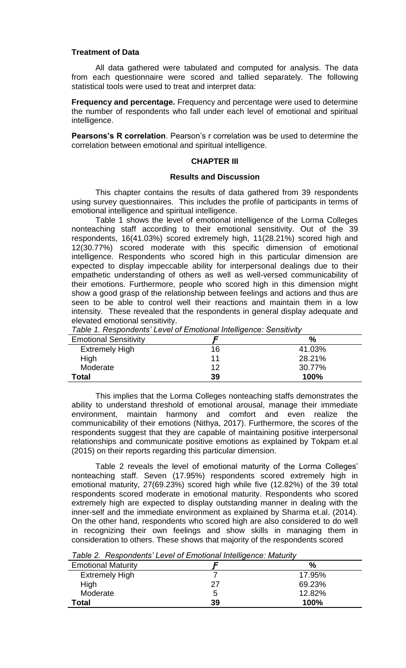### **Treatment of Data**

All data gathered were tabulated and computed for analysis. The data from each questionnaire were scored and tallied separately. The following statistical tools were used to treat and interpret data:

**Frequency and percentage.** Frequency and percentage were used to determine the number of respondents who fall under each level of emotional and spiritual intelligence.

**Pearsons's R correlation**. Pearson's r correlation was be used to determine the correlation between emotional and spiritual intelligence.

### **CHAPTER III**

#### **Results and Discussion**

This chapter contains the results of data gathered from 39 respondents using survey questionnaires. This includes the profile of participants in terms of emotional intelligence and spiritual intelligence.

Table 1 shows the level of emotional intelligence of the Lorma Colleges nonteaching staff according to their emotional sensitivity. Out of the 39 respondents, 16(41.03%) scored extremely high, 11(28.21%) scored high and 12(30.77%) scored moderate with this specific dimension of emotional intelligence. Respondents who scored high in this particular dimension are expected to display impeccable ability for interpersonal dealings due to their empathetic understanding of others as well as well-versed communicability of their emotions. Furthermore, people who scored high in this dimension might show a good grasp of the relationship between feelings and actions and thus are seen to be able to control well their reactions and maintain them in a low intensity. These revealed that the respondents in general display adequate and elevated emotional sensitivity.

| <b>Emotional Sensitivity</b> |    | %      |
|------------------------------|----|--------|
| <b>Extremely High</b>        | 16 | 41.03% |
| High                         | 11 | 28.21% |
| Moderate                     | 12 | 30.77% |
| Total                        | 39 | 100%   |

*Table 1. Respondents' Level of Emotional Intelligence: Sensitivity*

This implies that the Lorma Colleges nonteaching staffs demonstrates the ability to understand threshold of emotional arousal, manage their immediate environment, maintain harmony and comfort and even realize the communicability of their emotions (Nithya, 2017). Furthermore, the scores of the respondents suggest that they are capable of maintaining positive interpersonal relationships and communicate positive emotions as explained by Tokpam et.al (2015) on their reports regarding this particular dimension.

Table 2 reveals the level of emotional maturity of the Lorma Colleges' nonteaching staff. Seven (17.95%) respondents scored extremely high in emotional maturity, 27(69.23%) scored high while five (12.82%) of the 39 total respondents scored moderate in emotional maturity. Respondents who scored extremely high are expected to display outstanding manner in dealing with the inner-self and the immediate environment as explained by Sharma et.al. (2014). On the other hand, respondents who scored high are also considered to do well in recognizing their own feelings and show skills in managing them in consideration to others. These shows that majority of the respondents scored

|  |  |  | Table 2. Respondents' Level of Emotional Intelligence: Maturity |
|--|--|--|-----------------------------------------------------------------|
|--|--|--|-----------------------------------------------------------------|

| $\sim$ 0.000 $\sim$ 0.000 $\sim$ 0.000 $\sim$ 0.000 $\sim$ 0.000 $\sim$ 0.000 $\sim$ 0.000 $\sim$ 0.000 $\sim$ 0.000 $\sim$ 0.000 $\sim$ |    |        |  |  |  |  |
|------------------------------------------------------------------------------------------------------------------------------------------|----|--------|--|--|--|--|
| <b>Emotional Maturity</b>                                                                                                                |    | %      |  |  |  |  |
| <b>Extremely High</b>                                                                                                                    |    | 17.95% |  |  |  |  |
| High                                                                                                                                     | 27 | 69.23% |  |  |  |  |
| Moderate                                                                                                                                 | b  | 12.82% |  |  |  |  |
| Total                                                                                                                                    | 39 | 100%   |  |  |  |  |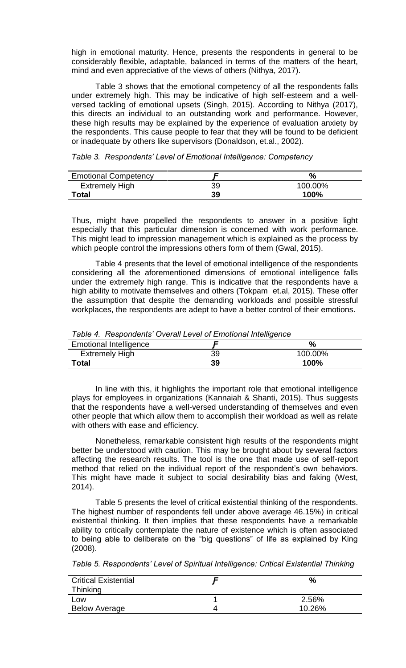high in emotional maturity. Hence, presents the respondents in general to be considerably flexible, adaptable, balanced in terms of the matters of the heart, mind and even appreciative of the views of others (Nithya, 2017).

Table 3 shows that the emotional competency of all the respondents falls under extremely high. This may be indicative of high self-esteem and a wellversed tackling of emotional upsets (Singh, 2015). According to Nithya (2017), this directs an individual to an outstanding work and performance. However, these high results may be explained by the experience of evaluation anxiety by the respondents. This cause people to fear that they will be found to be deficient or inadequate by others like supervisors (Donaldson, et.al., 2002).

| <b>Emotional Competency</b> |    | $\%$    |
|-----------------------------|----|---------|
| <b>Extremely High</b>       | 39 | 100.00% |
| Total                       | 39 | 100%    |

*Table 3. Respondents' Level of Emotional Intelligence: Competency*

Thus, might have propelled the respondents to answer in a positive light especially that this particular dimension is concerned with work performance. This might lead to impression management which is explained as the process by which people control the impressions others form of them (Gwal, 2015).

Table 4 presents that the level of emotional intelligence of the respondents considering all the aforementioned dimensions of emotional intelligence falls under the extremely high range. This is indicative that the respondents have a high ability to motivate themselves and others (Tokpam et.al, 2015). These offer the assumption that despite the demanding workloads and possible stressful workplaces, the respondents are adept to have a better control of their emotions.

*Table 4. Respondents' Overall Level of Emotional Intelligence*

| <b>Emotional Intelligence</b> |    | $\%$    |
|-------------------------------|----|---------|
| <b>Extremely High</b>         | 39 | 100.00% |
| Total                         | 39 | 100%    |

In line with this, it highlights the important role that emotional intelligence plays for employees in organizations (Kannaiah & Shanti, 2015). Thus suggests that the respondents have a well-versed understanding of themselves and even other people that which allow them to accomplish their workload as well as relate with others with ease and efficiency.

Nonetheless, remarkable consistent high results of the respondents might better be understood with caution. This may be brought about by several factors affecting the research results. The tool is the one that made use of self-report method that relied on the individual report of the respondent's own behaviors. This might have made it subject to social desirability bias and faking (West, 2014).

Table 5 presents the level of critical existential thinking of the respondents. The highest number of respondents fell under above average 46.15%) in critical existential thinking. It then implies that these respondents have a remarkable ability to critically contemplate the nature of existence which is often associated to being able to deliberate on the "big questions" of life as explained by King (2008).

*Table 5. Respondents' Level of Spiritual Intelligence: Critical Existential Thinking*

| <b>Critical Existential</b><br>Thinking | %      |
|-----------------------------------------|--------|
| Low                                     | 2.56%  |
| <b>Below Average</b>                    | 10.26% |
|                                         |        |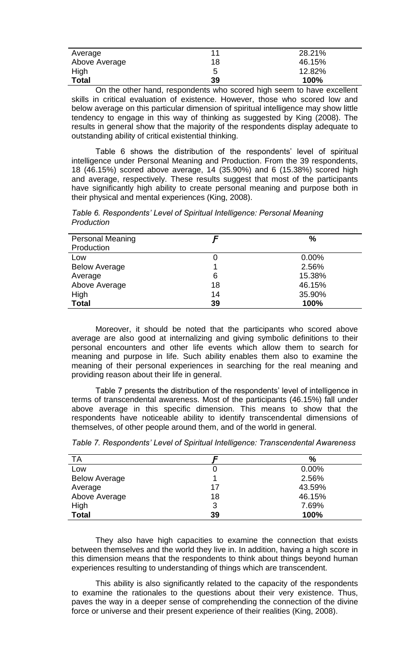| Average       | 11 | 28.21% |
|---------------|----|--------|
| Above Average | 18 | 46.15% |
| High          | 5  | 12.82% |
| <b>Total</b>  | 39 | 100%   |

On the other hand, respondents who scored high seem to have excellent skills in critical evaluation of existence. However, those who scored low and below average on this particular dimension of spiritual intelligence may show little tendency to engage in this way of thinking as suggested by King (2008). The results in general show that the majority of the respondents display adequate to outstanding ability of critical existential thinking.

Table 6 shows the distribution of the respondents' level of spiritual intelligence under Personal Meaning and Production. From the 39 respondents, 18 (46.15%) scored above average, 14 (35.90%) and 6 (15.38%) scored high and average, respectively. These results suggest that most of the participants have significantly high ability to create personal meaning and purpose both in their physical and mental experiences (King, 2008).

*Table 6. Respondents' Level of Spiritual Intelligence: Personal Meaning Production* 

| <b>Personal Meaning</b> |    | $\%$   |
|-------------------------|----|--------|
| Production              |    |        |
| Low                     |    | 0.00%  |
| <b>Below Average</b>    |    | 2.56%  |
| Average                 | 6  | 15.38% |
| Above Average           | 18 | 46.15% |
| High                    | 14 | 35.90% |
| <b>Total</b>            | 39 | 100%   |

Moreover, it should be noted that the participants who scored above average are also good at internalizing and giving symbolic definitions to their personal encounters and other life events which allow them to search for meaning and purpose in life. Such ability enables them also to examine the meaning of their personal experiences in searching for the real meaning and providing reason about their life in general.

Table 7 presents the distribution of the respondents' level of intelligence in terms of transcendental awareness. Most of the participants (46.15%) fall under above average in this specific dimension. This means to show that the respondents have noticeable ability to identify transcendental dimensions of themselves, of other people around them, and of the world in general.

| ТA                   |    | $\frac{9}{6}$ |
|----------------------|----|---------------|
| Low                  |    | $0.00\%$      |
| <b>Below Average</b> |    | 2.56%         |
| Average              | 17 | 43.59%        |
| Above Average        | 18 | 46.15%        |
| High                 | 3  | 7.69%         |
| <b>Total</b>         | 39 | 100%          |

*Table 7. Respondents' Level of Spiritual Intelligence: Transcendental Awareness* 

They also have high capacities to examine the connection that exists between themselves and the world they live in. In addition, having a high score in this dimension means that the respondents to think about things beyond human experiences resulting to understanding of things which are transcendent.

This ability is also significantly related to the capacity of the respondents to examine the rationales to the questions about their very existence. Thus, paves the way in a deeper sense of comprehending the connection of the divine force or universe and their present experience of their realities (King, 2008).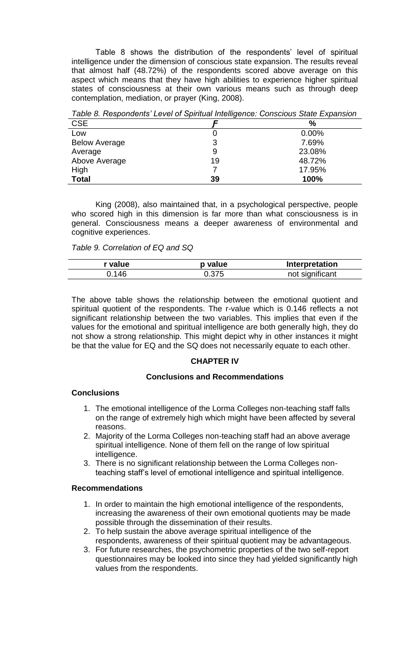Table 8 shows the distribution of the respondents' level of spiritual intelligence under the dimension of conscious state expansion. The results reveal that almost half (48.72%) of the respondents scored above average on this aspect which means that they have high abilities to experience higher spiritual states of consciousness at their own various means such as through deep contemplation, mediation, or prayer (King, 2008).

| <b>CSE</b>           |    | $\frac{9}{6}$ |
|----------------------|----|---------------|
| Low                  |    | $0.00\%$      |
| <b>Below Average</b> |    | 7.69%         |
| Average              | 9  | 23.08%        |
| Above Average        | 19 | 48.72%        |
| High                 |    | 17.95%        |
| <b>Total</b>         | 39 | 100%          |

*Table 8. Respondents' Level of Spiritual Intelligence: Conscious State Expansion*

King (2008), also maintained that, in a psychological perspective, people who scored high in this dimension is far more than what consciousness is in general. Consciousness means a deeper awareness of environmental and cognitive experiences.

*Table 9. Correlation of EQ and SQ*

| * value | p value | Interpretation  |
|---------|---------|-----------------|
| 0.146   | 0.375   | not significant |

The above table shows the relationship between the emotional quotient and spiritual quotient of the respondents. The r-value which is 0.146 reflects a not significant relationship between the two variables. This implies that even if the values for the emotional and spiritual intelligence are both generally high, they do not show a strong relationship. This might depict why in other instances it might be that the value for EQ and the SQ does not necessarily equate to each other.

# **CHAPTER IV**

# **Conclusions and Recommendations**

# **Conclusions**

- 1. The emotional intelligence of the Lorma Colleges non-teaching staff falls on the range of extremely high which might have been affected by several reasons.
- 2. Majority of the Lorma Colleges non-teaching staff had an above average spiritual intelligence. None of them fell on the range of low spiritual intelligence.
- 3. There is no significant relationship between the Lorma Colleges nonteaching staff's level of emotional intelligence and spiritual intelligence.

### **Recommendations**

- 1. In order to maintain the high emotional intelligence of the respondents, increasing the awareness of their own emotional quotients may be made possible through the dissemination of their results.
- 2. To help sustain the above average spiritual intelligence of the respondents, awareness of their spiritual quotient may be advantageous.
- 3. For future researches, the psychometric properties of the two self-report questionnaires may be looked into since they had yielded significantly high values from the respondents.